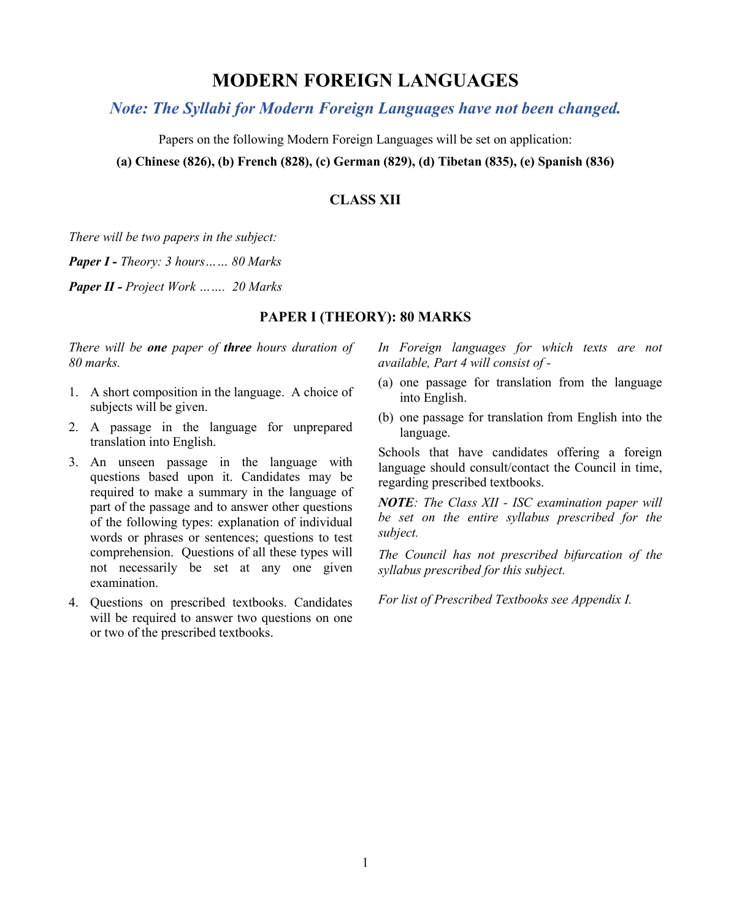# **MODERN FOREIGN LANGUAGES**

# *Note: The Syllabi for Modern Foreign Languages have not been changed.*

Papers on the following Modern Foreign Languages will be set on application:

**(a) Chinese (826), (b) French (828), (c) German (829), (d) Tibetan (835), (e) Spanish (836)**

# **CLASS XII**

*There will be two papers in the subject:*

*Paper I - Theory: 3 hours…… 80 Marks* 

*Paper II - Project Work ……. 20 Marks*

# **PAPER I (THEORY): 80 MARKS**

*There will be one paper of three hours duration of 80 marks.* 

- 1. A short composition in the language. A choice of subjects will be given.
- 2. A passage in the language for unprepared translation into English.
- 3. An unseen passage in the language with questions based upon it. Candidates may be required to make a summary in the language of part of the passage and to answer other questions of the following types: explanation of individual words or phrases or sentences; questions to test comprehension. Questions of all these types will not necessarily be set at any one given examination.
- 4. Questions on prescribed textbooks. Candidates will be required to answer two questions on one or two of the prescribed textbooks.

*In Foreign languages for which texts are not available, Part 4 will consist of -*

- (a) one passage for translation from the language into English.
- (b) one passage for translation from English into the language.

Schools that have candidates offering a foreign language should consult/contact the Council in time, regarding prescribed textbooks.

*NOTE: The Class XII - ISC examination paper will be set on the entire syllabus prescribed for the subject.*

*The Council has not prescribed bifurcation of the syllabus prescribed for this subject.*

*For list of Prescribed Textbooks see Appendix I.*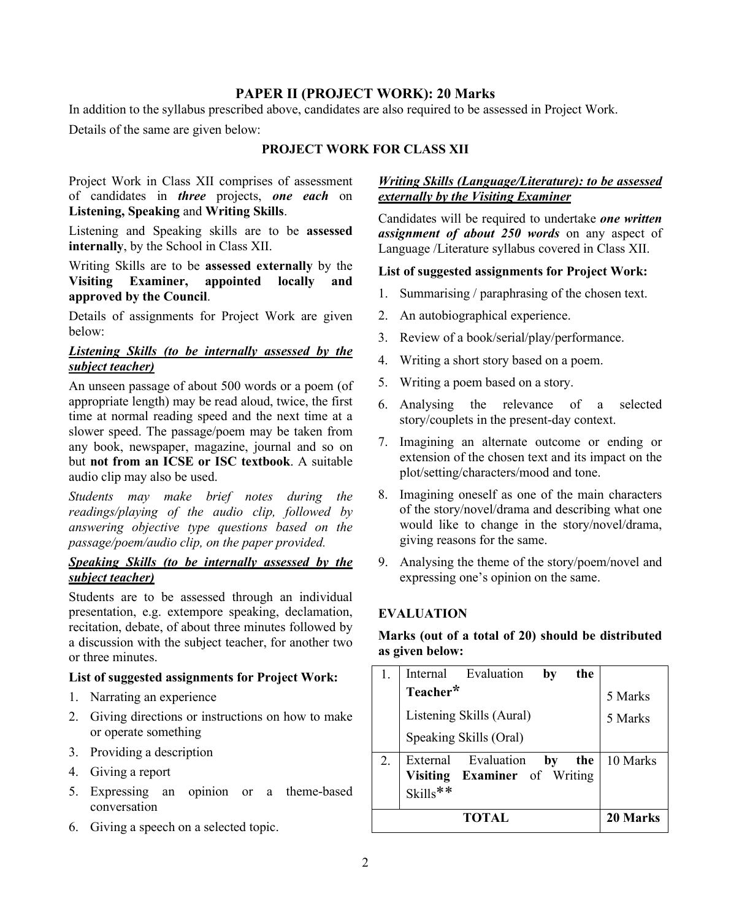## **PAPER II (PROJECT WORK): 20 Marks**

In addition to the syllabus prescribed above, candidates are also required to be assessed in Project Work.

Details of the same are given below:

### **PROJECT WORK FOR CLASS XII**

Project Work in Class XII comprises of assessment of candidates in *three* projects, *one each* on **Listening, Speaking** and **Writing Skills**.

Listening and Speaking skills are to be **assessed internally**, by the School in Class XII.

Writing Skills are to be **assessed externally** by the **Visiting Examiner, appointed locally and approved by the Council**.

Details of assignments for Project Work are given below:

#### *Listening Skills (to be internally assessed by the subject teacher)*

An unseen passage of about 500 words or a poem (of appropriate length) may be read aloud, twice, the first time at normal reading speed and the next time at a slower speed. The passage/poem may be taken from any book, newspaper, magazine, journal and so on but **not from an ICSE or ISC textbook**. A suitable audio clip may also be used.

*Students may make brief notes during the readings/playing of the audio clip, followed by answering objective type questions based on the passage/poem/audio clip, on the paper provided.*

# *Speaking Skills (to be internally assessed by the subject teacher)*

Students are to be assessed through an individual presentation, e.g. extempore speaking, declamation, recitation, debate, of about three minutes followed by a discussion with the subject teacher, for another two or three minutes.

#### **List of suggested assignments for Project Work:**

- 1. Narrating an experience
- 2. Giving directions or instructions on how to make or operate something
- 3. Providing a description
- 4. Giving a report
- 5. Expressing an opinion or a theme-based conversation
- 6. Giving a speech on a selected topic.

#### *Writing Skills (Language/Literature): to be assessed externally by the Visiting Examiner*

Candidates will be required to undertake *one written assignment of about 250 words* on any aspect of Language /Literature syllabus covered in Class XII.

#### **List of suggested assignments for Project Work:**

- 1. Summarising / paraphrasing of the chosen text.
- 2. An autobiographical experience.
- 3. Review of a book/serial/play/performance.
- 4. Writing a short story based on a poem.
- 5. Writing a poem based on a story.
- 6. Analysing the relevance of a selected story/couplets in the present-day context.
- 7. Imagining an alternate outcome or ending or extension of the chosen text and its impact on the plot/setting/characters/mood and tone.
- 8. Imagining oneself as one of the main characters of the story/novel/drama and describing what one would like to change in the story/novel/drama, giving reasons for the same.
- 9. Analysing the theme of the story/poem/novel and expressing one's opinion on the same.

# **EVALUATION**

### **Marks (out of a total of 20) should be distributed as given below:**

|       |                          | Internal Evaluation                                 | by | the |          |
|-------|--------------------------|-----------------------------------------------------|----|-----|----------|
|       | Teacher*                 |                                                     |    |     | 5 Marks  |
|       | Listening Skills (Aural) |                                                     |    |     | 5 Marks  |
|       |                          | Speaking Skills (Oral)                              |    |     |          |
| 2.    | Skills**                 | External Evaluation<br>Visiting Examiner of Writing | by | the | 10 Marks |
| TOTAL |                          |                                                     |    |     | 20 Marks |